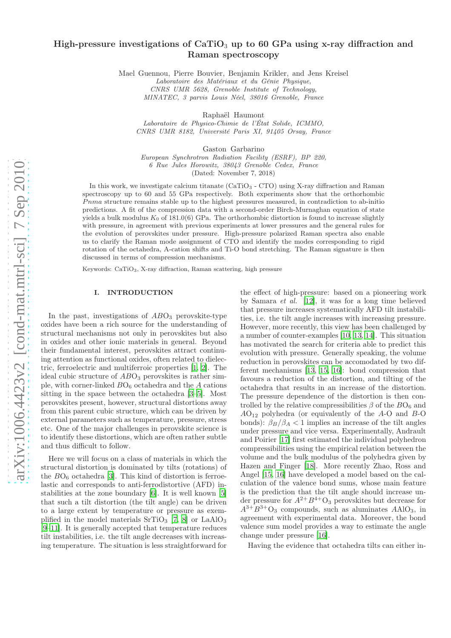# High-pressure investigations of  $CaTiO<sub>3</sub>$  up to 60 GPa using x-ray diffraction and Raman spectroscopy

Mael Guennou, Pierre Bouvier, Benjamin Krikler, and Jens Kreisel

Laboratoire des Matériaux et du Génie Physique, CNRS UMR 5628, Grenoble Institute of Technology, MINATEC, 3 parvis Louis Néel, 38016 Grenoble, France

Raphaël Haumont

Laboratoire de Physico-Chimie de l'État Solide, ICMMO, CNRS UMR 8182, Université Paris XI, 91405 Orsay, France

Gaston Garbarino

European Synchrotron Radiation Facility (ESRF), BP 220, 6 Rue Jules Horowitz, 38043 Grenoble Cedex, France

(Dated: November 7, 2018)

In this work, we investigate calcium titanate (CaTiO<sup>3</sup> - CTO) using X-ray diffraction and Raman spectroscopy up to 60 and 55 GPa respectively. Both experiments show that the orthorhombic Pnma structure remains stable up to the highest pressures measured, in contradiction to ab-initio predictions. A fit of the compression data with a second-order Birch-Murnaghan equation of state yields a bulk modulus  $K_0$  of 181.0(6) GPa. The orthorhombic distortion is found to increase slightly with pressure, in agreement with previous experiments at lower pressures and the general rules for the evolution of perovskites under pressure. High-pressure polarized Raman spectra also enable us to clarify the Raman mode assignment of CTO and identify the modes corresponding to rigid rotation of the octahedra, A-cation shifts and Ti-O bond stretching. The Raman signature is then discussed in terms of compression mechanisms.

Keywords: CaTiO3, X-ray diffraction, Raman scattering, high pressure

#### I. INTRODUCTION

In the past, investigations of  $ABO<sub>3</sub>$  perovskite-type oxides have been a rich source for the understanding of structural mechanisms not only in perovskites but also in oxides and other ionic materials in general. Beyond their fundamental interest, perovskites attract continuing attention as functional oxides, often related to dielectric, ferroelectric and multiferroic properties [\[1,](#page-9-0) [2\]](#page-9-1). The ideal cubic structure of  $ABO<sub>3</sub>$  perovskites is rather simple, with corner-linked  $BO_6$  octahedra and the A cations sitting in the space between the octahedra [\[3](#page-9-2)[–5](#page-9-3)]. Most perovskites present, however, structural distortions away from this parent cubic structure, which can be driven by external parameters such as temperature, pressure, stress etc. One of the major challenges in perovskite science is to identify these distortions, which are often rather subtle and thus difficult to follow.

Here we will focus on a class of materials in which the structural distortion is dominated by tilts (rotations) of the  $BO<sub>6</sub>$  octahedra [\[3\]](#page-9-2). This kind of distortion is ferroelastic and corresponds to anti-ferrodistortive (AFD) instabilities at the zone boundary [\[6\]](#page-9-4). It is well known [\[5](#page-9-3)] that such a tilt distortion (the tilt angle) can be driven to a large extent by temperature or pressure as exemplified in the model materials  $SrTiO<sub>3</sub>$  [\[7,](#page-9-5) [8](#page-9-6)] or LaAlO<sub>3</sub> [\[9](#page-9-7)[–11\]](#page-10-0). It is generally accepted that temperature reduces tilt instabilities, i.e. the tilt angle decreases with increasing temperature. The situation is less straightforward for

the effect of high-pressure: based on a pioneering work by Samara et al. [\[12\]](#page-10-1), it was for a long time believed that pressure increases systematically AFD tilt instabilities, i.e. the tilt angle increases with increasing pressure. However, more recently, this view has been challenged by a number of counter-examples [\[10,](#page-10-2) [13,](#page-10-3) [14](#page-10-4)]. This situation has motivated the search for criteria able to predict this evolution with pressure. Generally speaking, the volume reduction in perovskites can be accomodated by two different mechanisms [\[13,](#page-10-3) [15,](#page-10-5) [16\]](#page-10-6): bond compression that favours a reduction of the distortion, and tilting of the octahedra that results in an increase of the distortion. The pressure dependence of the distortion is then controlled by the relative compressibilities  $\beta$  of the  $BO<sub>6</sub>$  and  $AO_{12}$  polyhedra (or equivalently of the A-O and B-O bonds):  $\beta_B/\beta_A < 1$  implies an increase of the tilt angles under pressure and vice versa. Experimentally, Andrault and Poirier [\[17\]](#page-10-7) first estimated the individual polyhedron compressibilities using the empirical relation between the volume and the bulk modulus of the polyhedra given by Hazen and Finger [\[18\]](#page-10-8). More recently Zhao, Ross and Angel [\[15](#page-10-5), [16\]](#page-10-6) have developed a model based on the calculation of the valence bond sums, whose main feature is the prediction that the tilt angle should increase under pressure for  $A^{2+}B^{4+}O_3$  perovskites but decrease for  $A^{3+}B^{3+}O_3$  compounds, such as aluminates  $AAlO_3$ , in agreement with experimental data. Moreover, the bond valence sum model provides a way to estimate the angle change under pressure [\[16\]](#page-10-6).

Having the evidence that octahedra tilts can either in-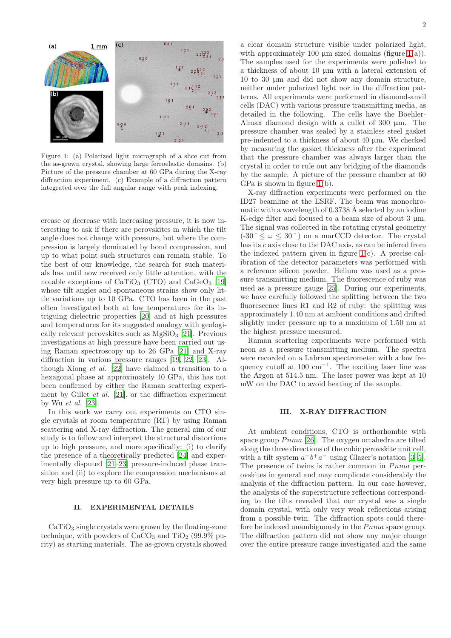

<span id="page-1-0"></span>Figure 1: (a) Polarized light micrograph of a slice cut from the as-grown crystal, showing large ferroelastic domains. (b) Picture of the pressure chamber at 60 GPa during the X-ray diffraction experiment. (c) Example of a diffraction pattern integrated over the full angular range with peak indexing.

crease or decrease with increasing pressure, it is now interesting to ask if there are perovskites in which the tilt angle does not change with pressure, but where the compression is largely dominated by bond compression, and up to what point such structures can remain stable. To the best of our knowledge, the search for such materials has until now received only little attention, with the notable exceptions of  $CaTiO<sub>3</sub>$  (CTO) and  $CaGeO<sub>3</sub>$  [\[19](#page-10-9)] whose tilt angles and spontaneous strains show only little variations up to 10 GPa. CTO has been in the past often investigated both at low temperatures for its intriguing dielectric properties [\[20\]](#page-10-10) and at high pressures and temperatures for its suggested analogy with geologically relevant perovskites such as  $MgSiO<sub>3</sub>$  [\[21\]](#page-10-11). Previous investigations at high pressure have been carried out using Raman spectroscopy up to 26 GPa [\[21\]](#page-10-11) and X-ray diffraction in various pressure ranges [\[19,](#page-10-9) [22](#page-10-12), [23\]](#page-10-13). Although Xiong et al. [\[22](#page-10-12)] have claimed a transition to a hexagonal phase at approximately 10 GPa, this has not been confirmed by either the Raman scattering experiment by Gillet et al. [\[21\]](#page-10-11), or the diffraction experiment by Wu et al. [\[23\]](#page-10-13).

In this work we carry out experiments on CTO single crystals at room temperature (RT) by using Raman scattering and X-ray diffraction. The general aim of our study is to follow and interpret the structural distortions up to high pressure, and more specifically: (i) to clarify the presence of a theoretically predicted [\[24\]](#page-10-14) and experimentally disputed [\[21](#page-10-11)[–23\]](#page-10-13) pressure-induced phase transition and (ii) to explore the compression mechanisms at very high pressure up to 60 GPa.

#### II. EXPERIMENTAL DETAILS

 $CaTiO<sub>3</sub>$  single crystals were grown by the floating-zone technique, with powders of  $CaCO<sub>3</sub>$  and TiO<sub>2</sub> (99.9% purity) as starting materials. The as-grown crystals showed a clear domain structure visible under polarized light, with approximately 100  $\mu$ m sized domains (figure [1\(](#page-1-0)a)). The samples used for the experiments were polished to a thickness of about 10 µm with a lateral extension of 10 to 30 µm and did not show any domain structure, neither under polarized light nor in the diffraction patterns. All experiments were performed in diamond-anvil cells (DAC) with various pressure transmitting media, as detailed in the following. The cells have the Boehler-Almax diamond design with a cullet of  $300 \mu m$ . The pressure chamber was sealed by a stainless steel gasket pre-indented to a thickness of about 40 µm. We checked by measuring the gasket thickness after the experiment that the pressure chamber was always larger than the crystal in order to rule out any bridging of the diamonds by the sample. A picture of the pressure chamber at 60 GPa is shown in figure [1\(](#page-1-0)b).

X-ray diffraction experiments were performed on the ID27 beamline at the ESRF. The beam was monochromatic with a wavelength of 0.3738 Å selected by an iodine K-edge filter and focused to a beam size of about  $3 \mu m$ . The signal was collected in the rotating crystal geometry  $(-30 \degree \leq \omega \leq 30 \degree)$  on a marCCD detector. The crystal has its c axis close to the DAC axis, as can be infered from the indexed pattern given in figure  $1(c)$ . A precise calibration of the detector parameters was performed with a reference silicon powder. Helium was used as a pressure transmitting medium. The fluorescence of ruby was used as a pressure gauge [\[25\]](#page-10-15). During our experiments, we have carefully followed the splitting between the two fluorescence lines R1 and R2 of ruby: the splitting was approximately 1.40 nm at ambient conditions and drifted slightly under pressure up to a maximum of 1.50 nm at the highest pressure measured.

Raman scattering experiments were performed with neon as a pressure transmitting medium. The spectra were recorded on a Labram spectrometer with a low frequency cutoff at  $100 \text{ cm}^{-1}$ . The exciting laser line was the Argon at 514.5 nm. The laser power was kept at 10 mW on the DAC to avoid heating of the sample.

# III. X-RAY DIFFRACTION

At ambient conditions, CTO is orthorhombic with space group  $Pnma$  [\[26](#page-10-16)]. The oxygen octahedra are tilted along the three directions of the cubic perovskite unit cell, with a tilt system  $a^-b^+a^-$  using Glazer's notation [\[3](#page-9-2)[–5\]](#page-9-3). The presence of twins is rather common in  $Pnma$  perovskites in general and may complicate considerably the analysis of the diffraction pattern. In our case however, the analysis of the superstructure reflections corresponding to the tilts revealed that our crystal was a single domain crystal, with only very weak reflections arising from a possible twin. The diffraction spots could therefore be indexed unambiguously in the  $Pnma$  space group. The diffraction pattern did not show any major change over the entire pressure range investigated and the same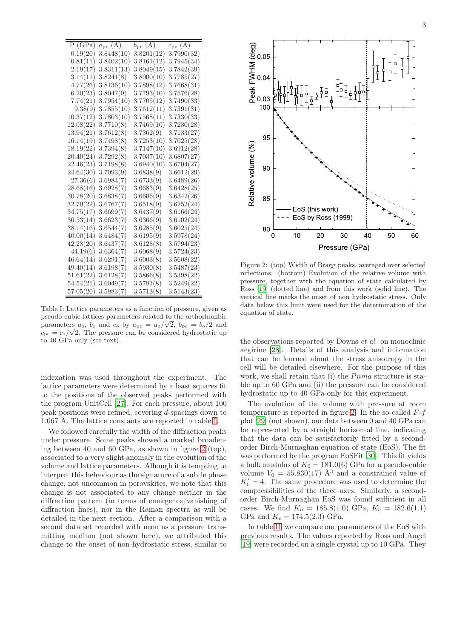|    | ٠<br>۰. |    |   |
|----|---------|----|---|
| ×  |         |    | C |
|    |         |    |   |
|    |         |    |   |
| v. |         | ۰, | ٦ |

| $\overline{P}$ (GPa) | $a_{\rm pc}$ (A) | $b_{\rm pc}$ (A)        | (A)<br>$c_{\rm pc}$ |
|----------------------|------------------|-------------------------|---------------------|
| 0.19(20)             | 3.8448(10)       | $\overline{3.8201(12)}$ | 3.7990(32)          |
| 0.81(11)             | 3.8402(10)       | 3.8161(12)              | 3.7945(34)          |
| 2.19(17)             | 3.8311(13)       | 3.8049(15)              | 3.7842(39)          |
| 3.14(11)             | 3.8241(8)        | 3.8000(10)              | 3.7785(27)          |
| 4.77(26)             | 3.8136(10)       | 3.7898(12)              | 3.7668(31)          |
| 6.20(23)             | 3.8047(9)        | 3.7793(10)              | 3.7576(28)          |
| 7.74(21)             | 3.7954(10)       | 3.7705(12)              | 3.7490(33)          |
| 9.38(9)              | 3.7855(10)       | 3.7612(11)              | 3.7391(31)          |
| 10.37(12)            | 3.7803(10)       | 3.7568(11)              | 3.7330(33)          |
| 12.08(22)            | 3.7710(8)        | 3.7469(10)              | 3.7230(28)          |
| 13.94(21)            | 3.7612(8)        | 3.7362(9)               | 3.7133(27)          |
| 16.14(19)            | 3.7498(8)        | 3.7253(10)              | 3.7025(28)          |
| 18.19(22)            | 3.7394(8)        | 3.7147(10)              | 3.6912(28)          |
| 20.40(24)            | 3.7292(8)        | 3.7037(10)              | 3.6807(27)          |
| 22.46(23)            | 3.7198(8)        | 3.6940(10)              | 3.6704(27)          |
| 24.64(30)            | 3.7093(9)        | 3.6838(9)               | 3.6612(29)          |
| 27.36(6)             | 3.6984(7)        | 3.6733(9)               | 3.6489(26)          |
| 28.68(16)            | 3.6928(7)        | 3.6683(9)               | 3.6428(25)          |
| 30.78(20)            | 3.6838(7)        | 3.6606(9)               | 3.6342(26)          |
| 32.79(22)            | 3.6767(7)        | 3.6518(9)               | 3.6252(24)          |
| 34.75(17)            | 3.6699(7)        | 3.6437(9)               | 3.6166(24)          |
| 36.53(14)            | 3.6623(7)        | 3.6366(9)               | 3.6102(24)          |
| 38.14(16)            | 3.6544(7)        | 3.6285(9)               | 3.6025(24)          |
| 40.00(14)            | 3.6484(7)        | 3.6195(9)               | 3.5978(24)          |
| 42.28(20)            | 3.6437(7)        | 3.6128(8)               | 3.5794(23)          |
| 44.19(6)             | 3.6364(7)        | 3.6068(9)               | 3.5724(23)          |
| 46.64(14)            | 3.6291(7)        | 3.6003(8)               | 3.5608(22)          |
| 49.40(14)            | 3.6198(7)        | 3.5930(8)               | 3.5487(23)          |
| 51.61(22)            | 3.6128(7)        | 3.5866(8)               | 3.5398(22)          |
| 54.54(21)            | 3.6049(7)        | 3.5781(8)               | 3.5249(22)          |
| 57.05(20)            | 3.5983(7)        | 3.5713(8)               | 3.5143(23)          |

<span id="page-2-0"></span>Table I: Lattice parameters as a function of pressure, given as pseudo-cubic lattices parameters related to the orthorhombic parameters  $a_0$ ,  $b_0$  and  $c_0$  by  $a_{\rm pc} = a_0/\sqrt{2}$ ,  $b_{\rm pc} = b_0/2$  and  $c_{\rm pc} = c_{\rm o}/\sqrt{2}$ . The pressure can be considered hydrostatic up to 40 GPa only (see text).

indexation was used throughout the experiment. The lattice parameters were determined by a least squares fit to the positions of the observed peaks performed with the program UnitCell [\[27\]](#page-10-17). For each pressure, about 100 peak positions were refined, covering d-spacings down to 1.067 Å. The lattice constants are reported in table [I.](#page-2-0)

We followed carefully the width of the diffraction peaks under pressure. Some peaks showed a marked broadening between 40 and 60 GPa, as shown in figure [2](#page-2-1) (top), associated to a very slight anomaly in the evolution of the volume and lattice parameters. Alhough it is tempting to interpret this behaviour as the signature of a subtle phase change, not uncommon in perovskites, we note that this change is not associated to any change neither in the diffraction pattern (in terms of emergence/vanishing of diffraction lines), nor in the Raman spectra as will be detailed in the next section. After a comparison with a second data set recorded with neon as a pressure transmitting medium (not shown here), we attributed this change to the onset of non-hydrostatic stress, similar to



<span id="page-2-1"></span>Figure 2: (top) Width of Bragg peaks, averaged over selected reflections. (bottom) Evolution of the relative volume with pressure, together with the equation of state calculated by Ross [\[19\]](#page-10-9) (dotted line) and from this work (solid line). The vertical line marks the onset of non hydrostatic stress. Only data below this limit were used for the determination of the equation of state.

the observations reported by Downs et al. on monoclinic aegirine [\[28](#page-10-18)]. Details of this analysis and information that can be learned about the stress anisotropy in the cell will be detailed elsewhere. For the purpose of this work, we shall retain that (i) the  $Pnma$  structure is stable up to 60 GPa and (ii) the pressure can be considered hydrostatic up to 40 GPa only for this experiment.

The evolution of the volume with pressure at room temperature is reported in figure [2.](#page-2-1) In the so-called  $F-f$ plot [\[29](#page-10-19)] (not shown), our data between 0 and 40 GPa can be represented by a straight horizontal line, indicating that the data can be satisfactorily fitted by a secondorder Birch-Murnaghan equation of state (EoS). The fit was performed by the program EoSFit [\[30\]](#page-10-20). This fit yields a bulk mudulus of  $K_0 = 181.0(6)$  GPa for a pseudo-cubic volume  $V_0 = 55.830(17)$   $\AA^3$  and a constrained value of  $K'_0 = 4$ . The same procedure was used to determine the compressibilities of the three axes. Similarly, a secondorder Birch-Murnaghan EoS was found sufficient in all cases. We find  $K_a = 185.8(1.0)$  GPa,  $K_b = 182.6(1.1)$ GPa and  $K_c = 174.5(2.3)$  GPa.

In table [II,](#page-3-0) we compare our parameters of the EoS with previous results. The values reported by Ross and Angel [\[19\]](#page-10-9) were recorded on a single crystal up to 10 GPa. They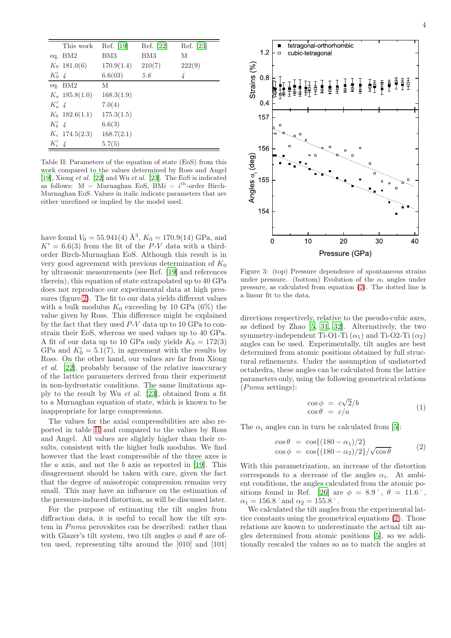|          | This work        | Ref. [19]  | Ref. [22] | Ref. [23] |
|----------|------------------|------------|-----------|-----------|
|          | eq. $BM2$        | BM3        | BM3       | М         |
|          | $K_0$ 181.0(6)   | 170.9(1.4) | 210(7)    | 222(9)    |
| $K_0'$ 4 |                  | 6.6(03)    | 5.6       |           |
|          | eq. BM2          | М          |           |           |
|          | $K_a$ 185.8(1.0) | 168.3(1.9) |           |           |
| $K'_a$ 4 |                  | 7.0(4)     |           |           |
|          | $K_b$ 182.6(1.1) | 175.3(1.5) |           |           |
| $K'_b$ 4 |                  | 6.6(3)     |           |           |
|          | $K_c$ 174.5(2.3) | 168.7(2.1) |           |           |
| $K_c'$   |                  | 5.7(5)     |           |           |

<span id="page-3-0"></span>Table II: Parameters of the equation of state (EoS) from this work compared to the values determined by Ross and Angel [\[19\]](#page-10-9), Xiong et al. [\[22\]](#page-10-12) and Wu et al. [\[23](#page-10-13)]. The EoS is indicated as follows:  $M =$ Murnaghan EoS, BMi = i<sup>th</sup>-order Birch-Murnaghan EoS. Values in italic indicate parameters that are either unrefined or implied by the model used.

have found  $V_0 = 55.941(4)$   $\AA^3$ ,  $K_0 = 170.9(14)$  GPa, and  $K' = 6.6(3)$  from the fit of the P-V data with a thirdorder Birch-Murnaghan EoS. Although this result is in very good agreement with previous determination of  $K_0$ by ultrasonic measurements (see Ref. [\[19\]](#page-10-9) and references therein), this equation of state extrapolated up to 40 GPa does not reproduce our experimental data at high pressures (figure [2\)](#page-2-1). The fit to our data yields different values with a bulk modulus  $K_0$  exceeding by 10 GPa (6%) the value given by Ross. This difference might be explained by the fact that they used P-V data up to 10 GPa to constrain their EoS, whereas we used values up to 40 GPa. A fit of our data up to 10 GPa only yields  $K_0 = 172(3)$ GPa and  $K'_0 = 5.1(7)$ , in agreement with the results by Ross. On the other hand, our values are far from Xiong et al. [\[22](#page-10-12)], probably because of the relative inaccuracy of the lattice parameters derived from their experiment in non-hydrostatic conditions. The same limitations apply to the result by Wu et al. [\[23\]](#page-10-13), obtained from a fit to a Murnaghan equation of state, which is known to be inappropriate for large compressions.

The values for the axial compressibilities are also reported in table [II](#page-3-0) and compared to the values by Ross and Angel. All values are slightly higher than their results, consistent with the higher bulk modulus. We find however that the least compressible of the three axes is the  $a$  axis, and not the  $b$  axis as reported in [\[19\]](#page-10-9). This disagreement should be taken with care, given the fact that the degree of anisotropic compression remains very small. This may have an influence on the estimation of the pressure-induced distortion, as will be discussed later.

For the purpose of estimating the tilt angles from diffraction data, it is useful to recall how the tilt system in Pnma perovskites can be described: rather than with Glazer's tilt system, two tilt angles  $\phi$  and  $\theta$  are often used, representing tilts around the [010] and [101]



<span id="page-3-2"></span>Figure 3: (top) Pressure dependence of spontaneous strains under pressure. (bottom) Evolution of the  $\alpha_i$  angles under pressure, as calculated from equation [\(2\)](#page-3-1). The dotted line is a linear fit to the data.

directions respectively, relative to the pseudo-cubic axes, as defined by Zhao [\[5](#page-9-3), [31,](#page-10-21) [32](#page-10-22)]. Alternatively, the two symmetry-independent Ti-O1-Ti  $(\alpha_1)$  and Ti-O2-Ti  $(\alpha_2)$ angles can be used. Experimentally, tilt angles are best determined from atomic positions obtained by full structural refinements. Under the assumption of undistorted octahedra, these angles can be calculated from the lattice parameters only, using the following geometrical relations  $(Pnma$  settings):

$$
\begin{array}{rcl}\n\cos \phi &=& c\sqrt{2}/b \\
\cos \theta &=& c/a\n\end{array} \tag{1}
$$

The  $\alpha_i$  angles can in turn be calculated from [\[5](#page-9-3)]:

<span id="page-3-1"></span>
$$
\cos \theta = \cos\{(180 - \alpha_1)/2\}
$$
  
\n
$$
\cos \phi = \cos\{(180 - \alpha_2)/2\}/\sqrt{\cos \theta}
$$
\n(2)

With this parametrization, an increase of the distortion corresponds to a decrease of the angles  $\alpha_i$ . At ambient conditions, the angles calculated from the atomic po-sitions found in Ref. [\[26\]](#page-10-16) are  $\phi = 8.9$ °,  $\theta = 11.6$ °,  $\alpha_1 = 156.8\,^\circ$  and  $\alpha_2 = 155.8\,^\circ$  .

We calculated the tilt angles from the experimental lattice constants using the geometrical equations [\(2\)](#page-3-1). Those relations are known to underestimate the actual tilt angles determined from atomic positions [\[5](#page-9-3)], so we additionally rescaled the values so as to match the angles at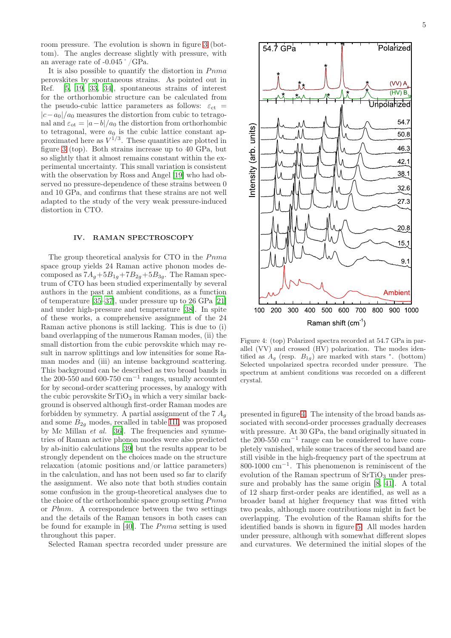room pressure. The evolution is shown in figure [3](#page-3-2) (bottom). The angles decrease slightly with pressure, with an average rate of -0.045˚/GPa.

It is also possible to quantify the distortion in  $Pnma$ perovskites by spontaneous strains. As pointed out in Ref. [\[5](#page-9-3), [19,](#page-10-9) [33,](#page-10-23) [34](#page-10-24)], spontaneous strains of interest for the orthorhombic structure can be calculated from the pseudo-cubic lattice parameters as follows:  $\varepsilon_{ct}$  =  $|c-a_0|/a_0$  measures the distortion from cubic to tetragonal and  $\varepsilon_{\text{ot}} = |a-b|/a_0$  the distortion from orthorhombic to tetragonal, were  $a_0$  is the cubic lattice constant approximated here as  $V^{1/3}$ . These quantities are plotted in figure [3](#page-3-2) (top). Both strains increase up to 40 GPa, but so slightly that it almost remains constant within the experimental uncertainty. This small variation is consistent with the observation by Ross and Angel [\[19\]](#page-10-9) who had observed no pressure-dependence of these strains between 0 and 10 GPa, and confirms that these strains are not well adapted to the study of the very weak pressure-induced distortion in CTO.

## IV. RAMAN SPECTROSCOPY

The group theoretical analysis for CTO in the  $Pnma$ space group yields 24 Raman active phonon modes decomposed as  $7A_g + 5B_{1g} + 7B_{2g} + 5B_{3g}$ . The Raman spectrum of CTO has been studied experimentally by several authors in the past at ambient conditions, as a function of temperature [\[35](#page-10-25)[–37\]](#page-10-26), under pressure up to 26 GPa [\[21](#page-10-11)] and under high-pressure and temperature [\[38\]](#page-10-27). In spite of these works, a comprehensive assignment of the 24 Raman active phonons is still lacking. This is due to (i) band overlapping of the numerous Raman modes, (ii) the small distortion from the cubic perovskite which may result in narrow splittings and low intensities for some Raman modes and (iii) an intense background scattering. This background can be described as two broad bands in the 200-550 and 600-750  $\text{cm}^{-1}$  ranges, usually accounted for by second-order scattering processes, by analogy with the cubic perovskite  $SrTiO<sub>3</sub>$  in which a very similar background is observed although first-order Raman modes are forbidden by symmetry. A partial assignment of the  $7 A<sub>q</sub>$ and some  $B_{2q}$  modes, recalled in table [III,](#page-6-0) was proposed by Mc Millan et al. [\[36](#page-10-28)]. The frequencies and symmetries of Raman active phonon modes were also predicted by ab-initio calculations [\[39](#page-10-29)] but the results appear to be strongly dependent on the choices made on the structure relaxation (atomic positions and/or lattice parameters) in the calculation, and has not been used so far to clarify the assignment. We also note that both studies contain some confusion in the group-theoretical analyses due to the choice of the orthorhombic space group setting  $Pnma$ or  $Pbnm$ . A correspondence between the two settings and the details of the Raman tensors in both cases can be found for example in  $[40]$ . The  $Pnma$  setting is used throughout this paper.

Selected Raman spectra recorded under pressure are



<span id="page-4-0"></span>Figure 4: (top) Polarized spectra recorded at 54.7 GPa in parallel (VV) and crossed (HV) polarization. The modes identified as  $A_g$  (resp.  $B_{1g}$ ) are marked with stars \*. (bottom) Selected unpolarized spectra recorded under pressure. The spectrum at ambient conditions was recorded on a different crystal.

presented in figure [4.](#page-4-0) The intensity of the broad bands associated with second-order processes gradually decreases with pressure. At 30 GPa, the band originally situated in the 200-550 cm−<sup>1</sup> range can be considered to have completely vanished, while some traces of the second band are still visible in the high-frequency part of the spectrum at 800-1000 cm−<sup>1</sup> . This phenomenon is reminiscent of the evolution of the Raman spectrum of  $SrTiO<sub>3</sub>$  under pressure and probably has the same origin [\[8,](#page-9-6) [41\]](#page-10-31). A total of 12 sharp first-order peaks are identified, as well as a broader band at higher frequency that was fitted with two peaks, although more contributions might in fact be overlapping. The evolution of the Raman shifts for the identified bands is shown in figure [5.](#page-5-0) All modes harden under pressure, although with somewhat different slopes and curvatures. We determined the initial slopes of the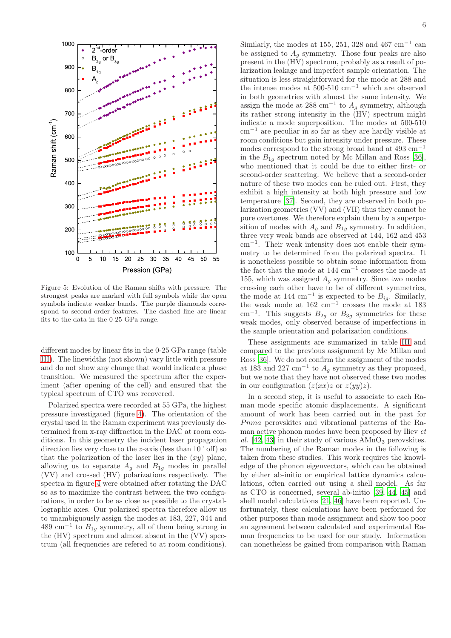

<span id="page-5-0"></span>Figure 5: Evolution of the Raman shifts with pressure. The strongest peaks are marked with full symbols while the open symbols indicate weaker bands. The purple diamonds correspond to second-order features. The dashed line are linear fits to the data in the 0-25 GPa range.

different modes by linear fits in the 0-25 GPa range (table [III\)](#page-6-0). The linewidths (not shown) vary little with pressure and do not show any change that would indicate a phase transition. We measured the spectrum after the experiment (after opening of the cell) and ensured that the typical spectrum of CTO was recovered.

Polarized spectra were recorded at 55 GPa, the highest pressure investigated (figure [4\)](#page-4-0). The orientation of the crystal used in the Raman experiment was previously determined from x-ray diffraction in the DAC at room conditions. In this geometry the incident laser propagation direction lies very close to the z-axis (less than 10˚off) so that the polarization of the laser lies in the  $(xy)$  plane, allowing us to separate  $A_g$  and  $B_{1g}$  modes in parallel (VV) and crossed (HV) polarizations respectively. The spectra in figure [4](#page-4-0) were obtained after rotating the DAC so as to maximize the contrast between the two configurations, in order to be as close as possible to the crystallographic axes. Our polarized spectra therefore allow us to unambiguously assign the modes at 183, 227, 344 and 489 cm<sup>-1</sup> to  $B_{1g}$  symmetry, all of them being strong in the (HV) spectrum and almost absent in the (VV) spectrum (all frequencies are refered to at room conditions).

Similarly, the modes at 155, 251, 328 and 467  $\text{cm}^{-1}$  can be assigned to  $A_q$  symmetry. Those four peaks are also present in the (HV) spectrum, probably as a result of polarization leakage and imperfect sample orientation. The situation is less straightforward for the mode at 288 and the intense modes at  $500-510$  cm<sup>-1</sup> which are observed in both geometries with almost the same intensity. We assign the mode at 288 cm<sup>-1</sup> to  $A<sub>g</sub>$  symmetry, although its rather strong intensity in the (HV) spectrum might indicate a mode superposition. The modes at 500-510 cm−<sup>1</sup> are peculiar in so far as they are hardly visible at room conditions but gain intensity under pressure. These modes correspond to the strong broad band at  $493 \text{ cm}^{-1}$ in the  $B_{1q}$  spectrum noted by Mc Millan and Ross [\[36\]](#page-10-28), who mentioned that it could be due to either first- or second-order scattering. We believe that a second-order nature of these two modes can be ruled out. First, they exhibit a high intensity at both high pressure and low temperature [\[37\]](#page-10-26). Second, they are observed in both polarization geometries (VV) and (VH) thus they cannot be pure overtones. We therefore explain them by a superposition of modes with  $A<sub>g</sub>$  and  $B<sub>1g</sub>$  symmetry. In addition, three very weak bands are observed at 144, 162 and 453 cm−<sup>1</sup> . Their weak intensity does not enable their symmetry to be determined from the polarized spectra. It is nonetheless possible to obtain some information from the fact that the mode at 144 cm<sup>−</sup><sup>1</sup> crosses the mode at 155, which was assigned  $A<sub>q</sub>$  symmetry. Since two modes crossing each other have to be of different symmetries, the mode at 144 cm<sup>-1</sup> is expected to be  $B_{ig}$ . Similarly, the weak mode at  $162 \text{ cm}^{-1}$  crosses the mode at  $183$ cm<sup>-1</sup>. This suggests  $B_{2g}$  or  $B_{3g}$  symmetries for these weak modes, only observed because of imperfections in the sample orientation and polarization conditions.

These assignments are summarized in table [III](#page-6-0) and compared to the previous assignment by Mc Millan and Ross [\[36](#page-10-28)]. We do not confirm the assignment of the modes at 183 and 227 cm<sup>-1</sup> to  $A<sub>g</sub>$  symmetry as they proposed, but we note that they have not observed these two modes in our configuration  $(z(xx)z$  or  $z(yy)z$ .

In a second step, it is useful to associate to each Raman mode specific atomic displacements. A significant amount of work has been carried out in the past for Pnma perovskites and vibrational patterns of the Raman active phonon modes have been proposed by Iliev et al.  $[42, 43]$  $[42, 43]$  in their study of various  $AMnO<sub>3</sub>$  perovskites. The numbering of the Raman modes in the following is taken from these studies. This work requires the knowledge of the phonon eigenvectors, which can be obtained by either ab-initio or empirical lattice dynamics calculations, often carried out using a shell model. As far as CTO is concerned, several ab-initio [\[39](#page-10-29), [44,](#page-10-34) [45](#page-10-35)] and shell model calculations [\[21,](#page-10-11) [46\]](#page-10-36) have been reported. Unfortunately, these calculations have been performed for other purposes than mode assignment and show too poor an agreement between calculated and experimental Raman frequencies to be used for our study. Information can nonetheless be gained from comparison with Raman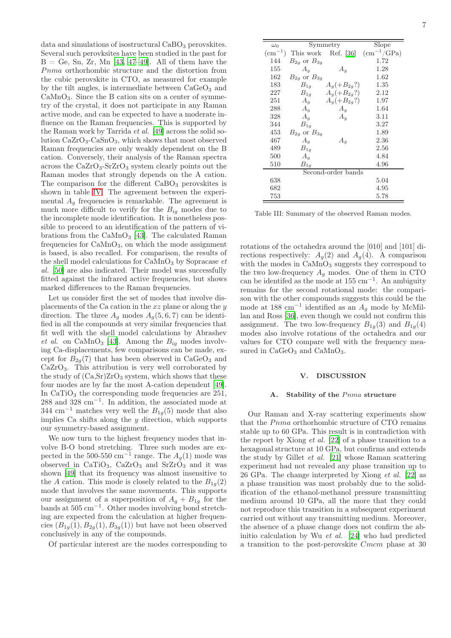data and simulations of isostructural  $CaBO<sub>3</sub>$  perovskites. Several such perovksites have been studied in the past for  $B =$  Ge, Sn, Zr, Mn [\[43,](#page-10-33) [47](#page-10-37)-49]. All of them have the  $Pnma$  orthorhombic structure and the distortion from the cubic perovskite in CTO, as measured for example by the tilt angles, is intermediate between  $CaGeO<sub>3</sub>$  and  $CaMnO<sub>3</sub>$ . Since the B cation sits on a center of symmetry of the crystal, it does not participate in any Raman active mode, and can be expected to have a moderate influence on the Raman frequencies. This is supported by the Raman work by Tarrida et al. [\[49\]](#page-10-38) across the solid solution  $CaZrO<sub>3</sub>-CaSnO<sub>3</sub>$ , which shows that most observed Raman frequencies are only weakly dependent on the B cation. Conversely, their analysis of the Raman spectra across the  $CaZrO<sub>3</sub>-SrZrO<sub>3</sub>$  system clearly points out the Raman modes that strongly depends on the A cation. The comparison for the different  $CaBO<sub>3</sub>$  perovskites is shown in table [IV.](#page-7-0) The agreement between the experimental  $A<sub>g</sub>$  frequencies is remarkable. The agreement is much more difficult to verify for the  $B_{iq}$  modes due to the incomplete mode identification. It is nonetheless possible to proceed to an identification of the pattern of vibrations from the  $CaMnO<sub>3</sub>$  [\[43\]](#page-10-33). The calculated Raman frequencies for  $CaMnO<sub>3</sub>$ , on which the mode assignment is based, is also recalled. For comparison, the results of the shell model calculations for  $\text{CaMnO}_3$  by Sopracase  $et$ al. [\[50](#page-10-39)] are also indicated. Their model was successfully fitted against the infrared active frequencies, but shows marked differences to the Raman frequencies.

Let us consider first the set of modes that involve displacements of the Ca cation in the  $xz$  plane or along the  $y$ direction. The three  $A_q$  modes  $A_q(5,6,7)$  can be identified in all the compounds at very similar frequencies that fit well with the shell model calculations by Abrashev et al. on CaMnO<sub>3</sub> [\[43\]](#page-10-33). Among the  $B_{iq}$  modes involving Ca-displacements, few comparisons can be made, except for  $B_{2q}(7)$  that has been observed in CaGeO<sub>3</sub> and  $CaZrO<sub>3</sub>$ . This attribution is very well corroborated by the study of  $(Ca, Sr)ZrO<sub>3</sub>$  system, which shows that these four modes are by far the most A-cation dependent [\[49\]](#page-10-38). In  $CaTiO<sub>3</sub>$  the corresponding mode frequencies are  $251$ , 288 and 328 cm<sup>−</sup><sup>1</sup> . In addition, the associated mode at 344 cm<sup>-1</sup> matches very well the  $B_{1g}(5)$  mode that also implies Ca shifts along the  $y$  direction, which supports our symmetry-based assignment.

We now turn to the highest frequency modes that involve B-O bond stretching. Three such modes are expected in the 500-550 cm<sup>-1</sup> range. The  $A_g(1)$  mode was observed in  $CaTiO<sub>3</sub>$ ,  $CaZrO<sub>3</sub>$  and  $SrZrO<sub>3</sub>$  and it was shown [\[49\]](#page-10-38) that its frequency was almost insensitive to the A cation. This mode is closely related to the  $B_{1q}(2)$ mode that involves the same movements. This supports our assignment of a superposition of  $A_q + B_{1q}$  for the bands at 505 cm−<sup>1</sup> . Other modes involving bond stretching are expected from the calculation at higher frequencies  $(B_{1g}(1), B_{2g}(1), B_{3g}(1))$  but have not been observed conclusively in any of the compounds.

Of particular interest are the modes corresponding to

| $\omega_0$         |                      | Symmetry        | Slope               |  |  |  |
|--------------------|----------------------|-----------------|---------------------|--|--|--|
| $\rm (cm^{-1})$    | This work Ref. [36]  |                 | $\rm (cm^{-1}/GPa)$ |  |  |  |
| 144                | $B_{2g}$ or $B_{3g}$ |                 | 1.72                |  |  |  |
| 155                | $A_g$                | $A_q$           | 1.28                |  |  |  |
| 162                | $B_{2q}$ or $B_{3q}$ |                 | 1.62                |  |  |  |
| 183                | $B_{1g}$             | $A_q(+B_{2g}?)$ | 1.35                |  |  |  |
| 227                | $B_{1g}$             | $A_a(+B_{2a}?)$ | 2.12                |  |  |  |
| 251                | $A_g$                | $A_q(+B_{2q}?)$ | 1.97                |  |  |  |
| 288                | $A_q$                | $A_q$           | 1.64                |  |  |  |
| 328                | $A_q$                | $A_q$           | 3.11                |  |  |  |
| 344                | $B_{1g}$             |                 | 3.27                |  |  |  |
| 453                | $B_{2g}$ or $B_{3g}$ |                 | 1.89                |  |  |  |
| 467                | $A_g$                | $A_q$           | $2.36\,$            |  |  |  |
| 489                | $B_{1g}$             |                 | $2.56\,$            |  |  |  |
| 500                | $A_q$                |                 | 4.84                |  |  |  |
| 510                | $B_{1g}$             |                 | 4.96                |  |  |  |
| Second-order bands |                      |                 |                     |  |  |  |
| 638                |                      |                 | 5.04                |  |  |  |
| 682                |                      |                 | 4.95                |  |  |  |
| 753                |                      |                 | 5.78                |  |  |  |

<span id="page-6-0"></span>Table III: Summary of the observed Raman modes.

rotations of the octahedra around the [010] and [101] directions respectively:  $A_q(2)$  and  $A_q(4)$ . A comparison with the modes in CaMnO<sub>3</sub> suggests they correspond to the two low-frequency  $A_q$  modes. One of them in CTO can be identifed as the mode at  $155 \text{ cm}^{-1}$ . An ambiguity remains for the second rotational mode: the comparison with the other compounds suggests this could be the mode at 188 cm<sup>-1</sup> identified as an  $A_g$  mode by McMillan and Ross [\[36](#page-10-28)], even though we could not confirm this assignment. The two low-frequency  $B_{1g}(3)$  and  $B_{1g}(4)$ modes also involve rotations of the octahedra and our values for CTO compare well with the frequency measured in  $CaGeO<sub>3</sub>$  and  $CaMnO<sub>3</sub>$ .

## V. DISCUSSION

#### A. Stability of the Pnma structure

Our Raman and X-ray scattering experiments show that the *Pnma* orthorhombic structure of CTO remains stable up to 60 GPa. This result is in contradiction with the report by Xiong  $et \ al.$  [\[22](#page-10-12)] of a phase transition to a hexagonal structure at 10 GPa, but confirms and extends the study by Gillet et al. [\[21\]](#page-10-11) whose Raman scattering experiment had not revealed any phase transition up to 26 GPa. The change interpreted by Xiong et al. [\[22\]](#page-10-12) as a phase transition was most probably due to the solidification of the ethanol-methanol pressure transmitting medium around 10 GPa, all the more that they could not reproduce this transition in a subsequent experiment carried out without any transmitting medium. Moreover, the absence of a phase change does not confirm the abinitio calculation by Wu et al. [\[24](#page-10-14)] who had predicted a transition to the post-perovskite Cmcm phase at 30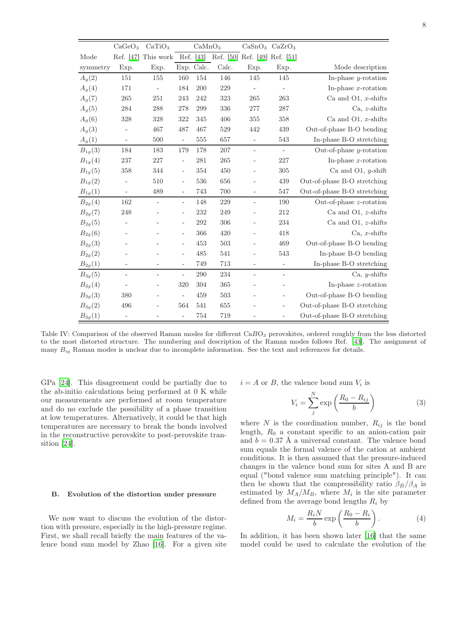|             | CaGeO <sub>3</sub>       | CaTiO <sub>3</sub>       |                          | CaMnO <sub>3</sub> |       |                               | CaSnO <sub>3</sub> CaZrO <sub>3</sub> |                             |
|-------------|--------------------------|--------------------------|--------------------------|--------------------|-------|-------------------------------|---------------------------------------|-----------------------------|
| Mode        | Ref. [47]                | This work                |                          | Ref. [43]          |       | Ref. [50] Ref. [49] Ref. [51] |                                       |                             |
| symmetry    | Exp.                     | Exp.                     |                          | Exp. Calc.         | Calc. | Exp.                          | Exp.                                  | Mode description            |
| $A_q(2)$    | 151                      | 155                      | 160                      | 154                | 146   | 145                           | 145                                   | In-phase $y$ -rotation      |
| $A_g(4)$    | 171                      | $\overline{\phantom{m}}$ | 184                      | 200                | 229   | ÷                             | $\overline{\phantom{0}}$              | In-phase $x$ -rotation      |
| $A_g(7)$    | 265                      | 251                      | 243                      | 242                | 323   | 265                           | 263                                   | Ca and O1, $x$ -shifts      |
| $A_g(5)$    | 284                      | 288                      | 278                      | 299                | 336   | 277                           | 287                                   | $Ca. z-shiffs$              |
| $A_g(6)$    | 328                      | 328                      | 322                      | 345                | 406   | 355                           | 358                                   | Ca and O1, $x$ -shifts      |
| $A_g(3)$    |                          | 467                      | 487                      | 467                | 529   | 442                           | 439                                   | Out-of-phase B-O bending    |
| $A_g(1)$    | $\overline{\phantom{a}}$ | 500                      | $\overline{\phantom{a}}$ | 555                | 657   | $\overline{\phantom{0}}$      | 543                                   | In-phase B-O stretching     |
| $B_{1g}(3)$ | 184                      | 183                      | 179                      | 178                | 207   | ÷,                            | $\blacksquare$                        | Out-of-phase $y$ -rotation  |
| $B_{1g}(4)$ | 237                      | 227                      | $\overline{a}$           | 281                | 265   | $\overline{a}$                | 227                                   | In-phase $x$ -rotation      |
| $B_{1g}(5)$ | 358                      | 344                      | $\overline{a}$           | 354                | 450   | $\overline{a}$                | 305                                   | Ca and O1, $y$ -shift       |
| $B_{1g}(2)$ | $\overline{\phantom{a}}$ | 510                      | $\overline{\phantom{m}}$ | 536                | 656   |                               | 439                                   | Out-of-phase B-O stretching |
| $B_{1g}(1)$ | $\overline{\phantom{a}}$ | 489                      | $\overline{a}$           | 743                | 700   | $\overline{\phantom{0}}$      | 547                                   | Out-of-phase B-O stretching |
| $B_{2g}(4)$ | 162                      | ÷,                       | $\overline{\phantom{a}}$ | 148                | 229   | ÷,                            | 190                                   | Out-of-phase $z$ -rotation  |
| $B_{2g}(7)$ | 248                      |                          | $\overline{\phantom{a}}$ | 232                | 249   |                               | 212                                   | Ca and O1, $z$ -shifts      |
| $B_{2g}(5)$ |                          |                          | $\overline{\phantom{a}}$ | 292                | 306   | ÷                             | 234                                   | Ca and O1, $z$ -shifts      |
| $B_{2g}(6)$ |                          |                          | $\overline{\phantom{a}}$ | 366                | 420   |                               | 418                                   | $Ca. x$ -shifts             |
| $B_{2g}(3)$ |                          |                          | $\overline{\phantom{a}}$ | 453                | 503   |                               | 469                                   | Out-of-phase B-O bending    |
| $B_{2g}(2)$ |                          |                          | $\overline{\phantom{a}}$ | 485                | 541   | ÷                             | 543                                   | In-phase B-O bending        |
| $B_{2g}(1)$ | $\overline{\phantom{0}}$ | $\overline{\phantom{0}}$ | $\overline{a}$           | 749                | 713   | $\overline{a}$                | $\overline{\phantom{0}}$              | In-phase B-O stretching     |
| $B_{3g}(5)$ | $\overline{\phantom{a}}$ | $\overline{\phantom{0}}$ | $\overline{a}$           | 290                | 234   | ÷                             | $\overline{\phantom{0}}$              | Ca, $y$ -shifts             |
| $B_{3g}(4)$ |                          |                          | 320                      | 304                | 365   |                               | $\overline{a}$                        | In-phase $z$ -rotation      |
| $B_{3g}(3)$ | 380                      | ۰                        | $\overline{a}$           | 459                | 503   |                               | ÷                                     | Out-of-phase B-O bending    |
| $B_{3g}(2)$ | 496                      | $\overline{\phantom{0}}$ | 564                      | 541                | 655   |                               | ÷                                     | Out-of-phase B-O stretching |
| $B_{3g}(1)$ | $\overline{\phantom{a}}$ |                          |                          | 754                | 719   |                               |                                       | Out-of-phase B-O stretching |

<span id="page-7-0"></span>Table IV: Comparison of the observed Raman modes for different  $CaBO<sub>3</sub>$  perovskites, ordered roughly from the less distorted to the most distorted structure. The numbering and description of the Raman modes follows Ref. [\[43](#page-10-33)]. The assignment of many  $B_{ig}$  Raman modes is unclear due to incomplete information. See the text and references for details.

GPa [\[24](#page-10-14)]. This disagreement could be partially due to the ab-initio calculations being performed at 0 K while our measurements are performed at room temperature and do no exclude the possibility of a phase transition at low temperatures. Alternatively, it could be that high temperatures are necessary to break the bonds involved in the reconstructive perovskite to post-perovskite transition [\[24\]](#page-10-14).

# B. Evolution of the distortion under pressure

We now want to discuss the evolution of the distortion with pressure, especially in the high-pressure regime. First, we shall recall briefly the main features of the valence bond sum model by Zhao [\[16](#page-10-6)]. For a given site  $i = A$  or B, the valence bond sum  $V_i$  is

$$
V_i = \sum_{j}^{N} \exp\left(\frac{R_0 - R_{ij}}{b}\right) \tag{3}
$$

where N is the coordination number,  $R_{ij}$  is the bond length,  $R_0$  a constant specific to an anion-cation pair and  $b = 0.37$  Å a universal constant. The valence bond sum equals the formal valence of the cation at ambient conditions. It is then assumed that the pressure-induced changes in the valence bond sum for sites A and B are equal ("bond valence sum matching principle"). It can then be shown that the compressibility ratio  $\beta_B/\beta_A$  is estimated by  $M_A/M_B$ , where  $M_i$  is the site parameter defined from the average bond lengths  $R_i$  by

$$
M_i = \frac{R_i N}{b} \exp\left(\frac{R_0 - R_i}{b}\right). \tag{4}
$$

In addition, it has been shown later [\[16\]](#page-10-6) that the same model could be used to calculate the evolution of the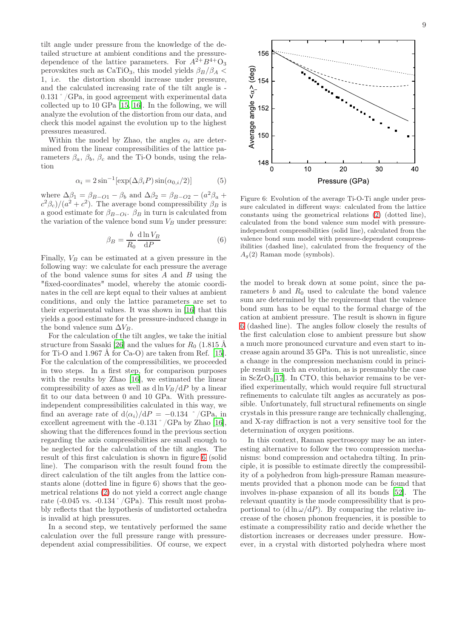tilt angle under pressure from the knowledge of the detailed structure at ambient conditions and the pressuredependence of the lattice parameters. For  $A^{2+}B^{4+}O_3$ perovskites such as CaTiO<sub>3</sub>, this model yields  $\beta_B/\beta_A$  < 1, i.e. the distortion should increase under pressure, and the calculated increasing rate of the tilt angle is - 0.131˚/GPa, in good agreement with experimental data collected up to 10 GPa [\[15](#page-10-5), [16](#page-10-6)]. In the following, we will analyze the evolution of the distortion from our data, and check this model against the evolution up to the highest pressures measured.

Within the model by Zhao, the angles  $\alpha_i$  are determined from the linear compressibilities of the lattice parameters  $\beta_a$ ,  $\beta_b$ ,  $\beta_c$  and the Ti-O bonds, using the relation

$$
\alpha_i = 2\sin^{-1}[\exp(\Delta\beta_i P)\sin(\alpha_{0,i}/2)]\tag{5}
$$

where  $\Delta \beta_1 = \beta_{B-O1} - \beta_b$  and  $\Delta \beta_2 = \beta_{B-O2} - (a^2 \beta_a + a^2 \beta_b)$  $\frac{c^2\beta_c}{a^2+c^2}$ . The average bond compressibility  $\beta_B$  is a good estimate for  $\beta_{B-Oi}$ .  $\beta_B$  in turn is calculated from the variation of the valence bond sum  $V_B$  under pressure:

$$
\beta_B = \frac{b}{R_0} \frac{\mathrm{d} \ln V_B}{\mathrm{d} P} \tag{6}
$$

Finally,  $V_B$  can be estimated at a given pressure in the following way: we calculate for each pressure the average of the bond valence sums for sites  $A$  and  $B$  using the "fixed-coordinates" model, whereby the atomic coordinates in the cell are kept equal to their values at ambient conditions, and only the lattice parameters are set to their experimental values. It was shown in [\[16](#page-10-6)] that this yields a good estimate for the pressure-induced change in the bond valence sum  $\Delta V_B$ .

For the calculation of the tilt angles, we take the initial structure from Sasaki [\[26](#page-10-16)] and the values for  $R_0$  (1.815 Å for Ti-O and 1.967 Å for Ca-O) are taken from Ref. [\[15\]](#page-10-5). For the calculation of the compressibilities, we proceeded in two steps. In a first step, for comparison purposes with the results by Zhao [\[16](#page-10-6)], we estimated the linear compressibility of axes as well as  $d \ln V_B/dP$  by a linear fit to our data between 0 and 10 GPa. With pressureindependent compressibilities calculated in this way, we find an average rate of  $d\langle \alpha_i \rangle / dP = -0.134$  °/GPa, in excellent agreement with the  $-0.131 \degree$  /GPa by Zhao [\[16\]](#page-10-6), showing that the differences found in the previous section regarding the axis compressibilities are small enough to be neglected for the calculation of the tilt angles. The result of this first calculation is shown in figure [6](#page-8-0) (solid line). The comparison with the result found from the direct calculation of the tilt angles from the lattice constants alone (dotted line in figure 6) shows that the geometrical relations [\(2\)](#page-3-1) do not yield a correct angle change rate (-0.045 vs. -0.134 $\degree$ /GPa). This result most probably reflects that the hypothesis of undistorted octahedra is invalid at high pressures.

In a second step, we tentatively performed the same calculation over the full pressure range with pressuredependent axial compressibilities. Of course, we expect



<span id="page-8-0"></span>Figure 6: Evolution of the average Ti-O-Ti angle under pressure calculated in different ways: calculated from the lattice constants using the geometrical relations [\(2\)](#page-3-1) (dotted line), calculated from the bond valence sum model with pressureindependent compressibilities (solid line), calculated from the valence bond sum model with pressure-dependent compressibilities (dashed line), calculated from the frequency of the  $A_q(2)$  Raman mode (symbols).

the model to break down at some point, since the parameters b and  $R_0$  used to calculate the bond valence sum are determined by the requirement that the valence bond sum has to be equal to the formal charge of the cation at ambient pressure. The result is shown in figure [6](#page-8-0) (dashed line). The angles follow closely the results of the first calculation close to ambient pressure but show a much more pronounced curvature and even start to increase again around 35 GPa. This is not unrealistic, since a change in the compression mechanism could in principle result in such an evolution, as is presumably the case in  $ScZrO<sub>3</sub>[17]$  $ScZrO<sub>3</sub>[17]$  $ScZrO<sub>3</sub>[17]$ . In CTO, this behavior remains to be verified experimentally, which would require full structural refinements to calculate tilt angles as accurately as possible. Unfortunately, full structural refinements on single crystals in this pressure range are technically challenging, and X-ray diffraction is not a very sensitive tool for the determination of oxygen positions.

In this context, Raman spectroscopy may be an interesting alternative to follow the two compression mechanisms: bond compression and octahedra tilting. In principle, it is possible to estimate directly the compressibility of a polyhedron from high-pressure Raman measurements provided that a phonon mode can be found that involves in-phase expansion of all its bonds [\[52\]](#page-10-41). The relevant quantity is the mode compressibility that is proportional to  $(d \ln \omega/dP)$ . By comparing the relative increase of the chosen phonon frequencies, it is possible to estimate a compressibility ratio and decide whether the distortion increases or decreases under pressure. However, in a crystal with distorted polyhedra where most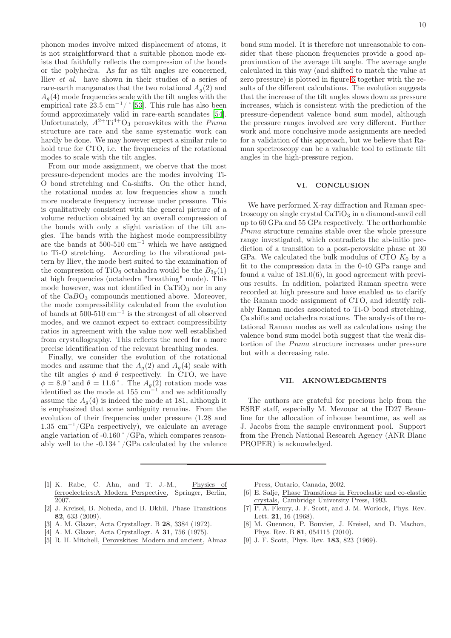phonon modes involve mixed displacement of atoms, it is not straightforward that a suitable phonon mode exists that faithfully reflects the compression of the bonds or the polyhedra. As far as tilt angles are concerned, Iliev et al. have shown in their studies of a series of rare-earth manganates that the two rotational  $A_q(2)$  and  $A_q(4)$  mode frequencies scale with the tilt angles with the empirical rate  $23.5 \text{ cm}^{-1}$ / ° [\[53\]](#page-10-42). This rule has also been found approximately valid in rare-earth scandates [\[54\]](#page-10-43). Unfortunately,  $A^{2+}$ Ti<sup>4+</sup>O<sub>3</sub> perosvkites with the  $Pnma$ structure are rare and the same systematic work can hardly be done. We may however expect a similar rule to hold true for CTO, i.e. the frequencies of the rotational modes to scale with the tilt angles.

From our mode assignment, we oberve that the most pressure-dependent modes are the modes involving Ti-O bond stretching and Ca-shifts. On the other hand, the rotational modes at low frequencies show a much more moderate frequency increase under pressure. This is qualitatively consistent with the general picture of a volume reduction obtained by an overall compression of the bonds with only a slight variation of the tilt angles. The bands with the highest mode compressibility are the bands at  $500-510$  cm<sup>-1</sup> which we have assigned to Ti-O stretching. According to the vibrational pattern by Iliev, the mode best suited to the examination of the compression of TiO<sub>6</sub> octahadra would be the  $B_{3q}(1)$ at high frequencies (octahedra "breathing" mode). This mode however, was not identified in  $CaTiO<sub>3</sub>$  nor in any of the  $CaBO<sub>3</sub>$  compounds mentioned above. Moreover, the mode compressibility calculated from the evolution of bands at  $500-510$  cm<sup>-1</sup> is the strongest of all observed modes, and we cannot expect to extract compressibility ratios in agreement with the value now well established from crystallography. This reflects the need for a more precise identification of the relevant breathing modes.

Finally, we consider the evolution of the rotational modes and assume that the  $A_g(2)$  and  $A_g(4)$  scale with the tilt angles  $\phi$  and  $\theta$  respectively. In CTO, we have  $\phi = 8.9$ ° and  $\theta = 11.6$ °. The  $A_g(2)$  rotation mode was identified as the mode at 155 cm<sup>-1</sup> and we additionally assume the  $A_q(4)$  is indeed the mode at 181, although it is emphasized that some ambiguity remains. From the evolution of their frequencies under pressure (1.28 and 1.35 cm<sup>−</sup><sup>1</sup>/GPa respectively), we calculate an average angle variation of -0.160˚/GPa, which compares reasonably well to the -0.134˚/GPa calculated by the valence 10

bond sum model. It is therefore not unreasonable to consider that these phonon frequencies provide a good approximation of the average tilt angle. The average angle calculated in this way (and shifted to match the value at zero pressure) is plotted in figure [6](#page-8-0) together with the results of the different calculations. The evolution suggests that the increase of the tilt angles slows down as pressure increases, which is consistent with the prediction of the pressure-dependent valence bond sum model, although the pressure ranges involved are very different. Further work and more conclusive mode assignments are needed for a validation of this approach, but we believe that Raman spectroscopy can be a valuable tool to estimate tilt angles in the high-pressure region.

# VI. CONCLUSION

We have performed X-ray diffraction and Raman spectroscopy on single crystal  $CaTiO<sub>3</sub>$  in a diamond-anvil cell up to 60 GPa and 55 GPa respectively. The orthorhombic  $Pnma$  structure remains stable over the whole pressure range investigated, which contradicts the ab-initio prediction of a transition to a post-perovskite phase at 30 GPa. We calculated the bulk modulus of CTO  $K_0$  by a fit to the compression data in the 0-40 GPa range and found a value of 181.0(6), in good agreement with previous results. In addition, polarized Raman spectra were recorded at high pressure and have enabled us to clarify the Raman mode assignment of CTO, and identify reliably Raman modes associated to Ti-O bond stretching, Ca shifts and octahedra rotations. The analysis of the rotational Raman modes as well as calculations using the valence bond sum model both suggest that the weak distortion of the  $Pnma$  structure increases under pressure but with a decreasing rate.

#### VII. AKNOWLEDGMENTS

The authors are grateful for precious help from the ESRF staff, especially M. Mezouar at the ID27 Beamline for the allocation of inhouse beamtime, as well as J. Jacobs from the sample environment pool. Support from the French National Research Agency (ANR Blanc PROPER) is acknowledged.

- <span id="page-9-0"></span>[1] K. Rabe, C. Ahn, and T. J.-M., Physics of ferroelectrics:A Modern Perspective, Springer, Berlin, 2007.
- <span id="page-9-1"></span>[2] J. Kreisel, B. Noheda, and B. Dkhil, Phase Transitions 82, 633 (2009).
- <span id="page-9-2"></span>[3] A. M. Glazer, Acta Crystallogr. B 28, 3384 (1972).
- [4] A. M. Glazer, Acta Crystallogr. A 31, 756 (1975).
- <span id="page-9-3"></span>[5] R. H. Mitchell, Perovskites: Modern and ancient, Almaz

Press, Ontario, Canada, 2002.

- <span id="page-9-4"></span>[6] E. Salje, Phase Transitions in Ferroelastic and co-elastic crystals, Cambridge University Press, 1993.
- <span id="page-9-5"></span>[7] P. A. Fleury, J. F. Scott, and J. M. Worlock, Phys. Rev. Lett. **21**, 16 (1968).
- <span id="page-9-6"></span>[8] M. Guennou, P. Bouvier, J. Kreisel, and D. Machon, Phys. Rev. B 81, 054115 (2010).
- <span id="page-9-7"></span>[9] J. F. Scott, Phys. Rev. 183, 823 (1969).